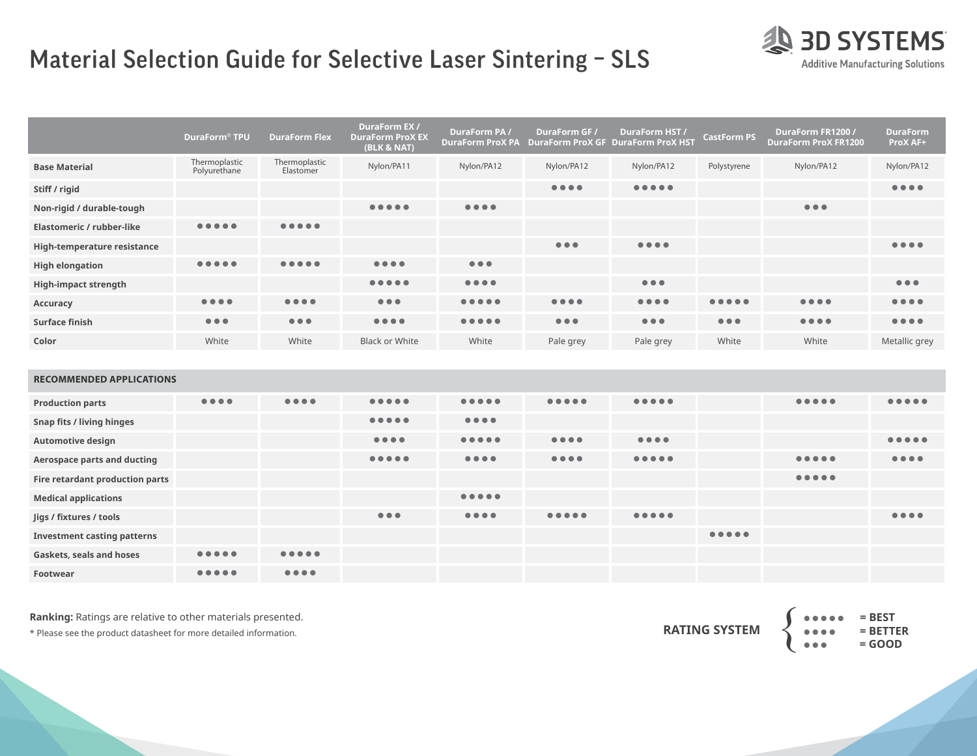## Material Selection Guide for Selective Laser Sintering – SLS



|                             | DuraForm® TPU                  | <b>DuraForm Flex</b>           | <b>DuraForm EX/</b><br><b>DuraForm Prox EX</b><br>(BLK & NAT) | DuraForm PA/<br><b>DuraForm ProX PA</b>                                                                            | DuraForm GF /<br><b>DuraForm ProX GF DuraForm ProX HST</b> | DuraForm HST /                 | <b>CastForm PS</b>      | DuraForm FR1200 /<br><b>DuraForm ProX FR1200</b> | <b>DuraForm</b><br>ProX AF+    |
|-----------------------------|--------------------------------|--------------------------------|---------------------------------------------------------------|--------------------------------------------------------------------------------------------------------------------|------------------------------------------------------------|--------------------------------|-------------------------|--------------------------------------------------|--------------------------------|
| <b>Base Material</b>        | Thermoplastic<br>Polyurethane  | Thermoplastic<br>Elastomer     | Nylon/PA11                                                    | Nylon/PA12                                                                                                         | Nylon/PA12                                                 | Nylon/PA12                     | Polystyrene             | Nylon/PA12                                       | Nylon/PA12                     |
| Stiff / rigid               |                                |                                |                                                               |                                                                                                                    | $\bullet\bullet\bullet\bullet$                             |                                |                         |                                                  | $\bullet\bullet\bullet\bullet$ |
| Non-rigid / durable-tough   |                                |                                | $\bullet\bullet\bullet\bullet\bullet$                         | $\bullet\bullet\bullet\bullet$                                                                                     |                                                            |                                |                         | $\bullet\bullet\bullet$                          |                                |
| Elastomeric / rubber-like   |                                |                                |                                                               |                                                                                                                    |                                                            |                                |                         |                                                  |                                |
| High-temperature resistance |                                |                                |                                                               |                                                                                                                    | $\bullet\bullet\bullet$                                    | $\bullet\bullet\bullet\bullet$ |                         |                                                  | $\bullet\bullet\bullet\bullet$ |
| <b>High elongation</b>      |                                |                                | $\bullet\bullet\bullet\bullet$                                | $\bullet\bullet\bullet$                                                                                            |                                                            |                                |                         |                                                  |                                |
| <b>High-impact strength</b> |                                |                                |                                                               | $\bullet\bullet\bullet\bullet$                                                                                     |                                                            | $\bullet\bullet\bullet$        |                         |                                                  | $\bullet\bullet\bullet$        |
| Accuracy                    | $\bullet\bullet\bullet\bullet$ | $\bullet\bullet\bullet\bullet$ | $\bullet\bullet\bullet$                                       |                                                                                                                    | $\bullet\bullet\bullet\bullet$                             | $\bullet\bullet\bullet\bullet$ |                         | $\bullet\bullet\bullet\bullet$                   | $\bullet\bullet\bullet\bullet$ |
| Surface finish              | $\bullet\bullet\bullet$        | $\bullet\bullet\bullet$        |                                                               | $\begin{array}{ccccccccccccccccc} \bullet & \bullet & \bullet & \bullet & \bullet & \bullet & \bullet \end{array}$ | $\bullet\bullet\bullet$                                    | $\bullet\bullet\bullet$        | $\bullet\bullet\bullet$ | $\bullet\bullet\bullet\bullet$                   | $\bullet\bullet\bullet\bullet$ |
| Color                       | White                          | White                          | <b>Black or White</b>                                         | White                                                                                                              | Pale grey                                                  | Pale grey                      | White                   | White                                            | Metallic grey                  |

| <b>RECOMMENDED APPLICATIONS</b> |  |
|---------------------------------|--|
|                                 |  |

| <b>Production parts</b>            | $\bullet\bullet\bullet\bullet$ | $\bullet\bullet\bullet\bullet$ | $\bullet\bullet\bullet\bullet\bullet$ |                                |                                |                                |  |  |
|------------------------------------|--------------------------------|--------------------------------|---------------------------------------|--------------------------------|--------------------------------|--------------------------------|--|--|
| Snap fits / living hinges          |                                |                                |                                       | $\bullet\bullet\bullet\bullet$ |                                |                                |  |  |
| <b>Automotive design</b>           |                                |                                | $\bullet\bullet\bullet\bullet$        |                                | $\bullet\bullet\bullet\bullet$ | $\bullet\bullet\bullet\bullet$ |  |  |
| Aerospace parts and ducting        |                                |                                |                                       |                                | $\bullet\bullet\bullet\bullet$ |                                |  |  |
| Fire retardant production parts    |                                |                                |                                       |                                |                                |                                |  |  |
| <b>Medical applications</b>        |                                |                                |                                       |                                |                                |                                |  |  |
| Jigs / fixtures / tools            |                                |                                | $\bullet\bullet\bullet$               | $\bullet\bullet\bullet\bullet$ |                                |                                |  |  |
| <b>Investment casting patterns</b> |                                |                                |                                       |                                |                                |                                |  |  |
| Gaskets, seals and hoses           |                                |                                |                                       |                                |                                |                                |  |  |
| Footwear                           |                                |                                |                                       |                                |                                |                                |  |  |

**Ranking:** Ratings are relative to other materials presented.

\* Please see the product datasheet for more detailed information.

 **= BEST = BETTER = GOOD RATING SYSTEM** {